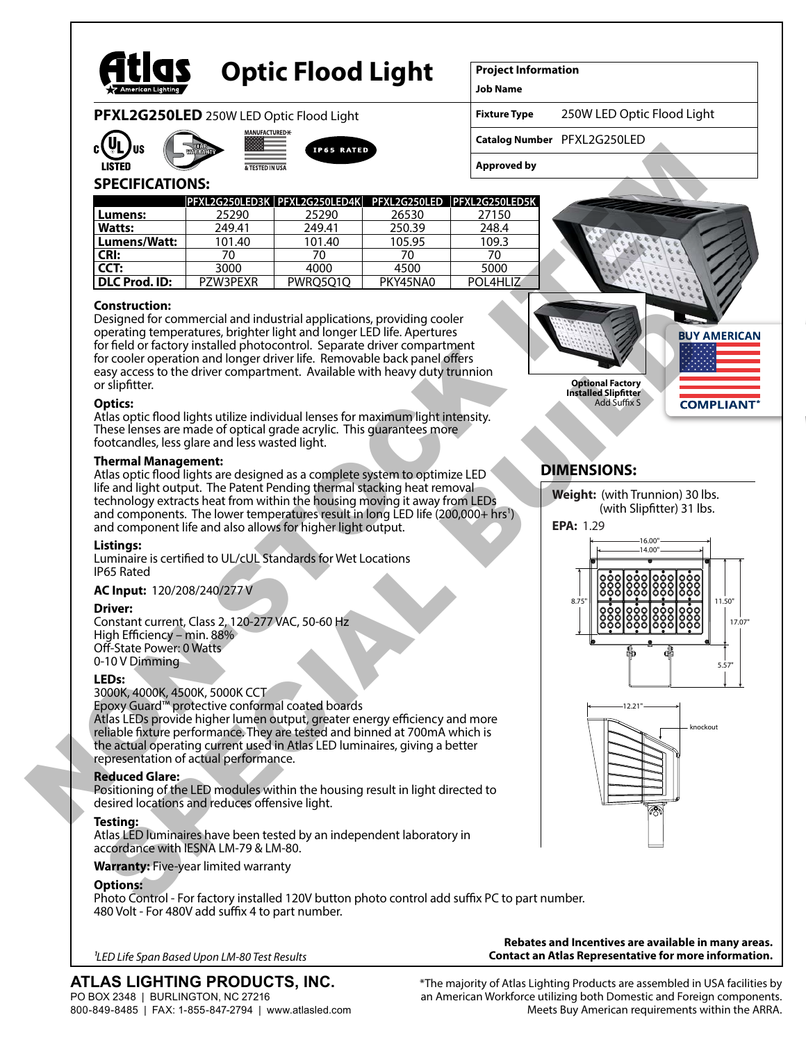

# **Optic Flood Light**

**Project Information**

**Job Name**

**Fixture Type** 250W LED Optic Flood Light

**Catalog Number** PFXL2G250LED

## **SPECIFICATIONS:**

**PFXL2G250LED** 250W LED Optic Flood Light

**IUFACTURED+** 

| c(VL                                                                                                                                                                         | <b>US</b><br><b>IP65 RATED</b> |                                                                                                                                                                                                                                                                                                                                                                                                  |          |                    |                                                                                                        |
|------------------------------------------------------------------------------------------------------------------------------------------------------------------------------|--------------------------------|--------------------------------------------------------------------------------------------------------------------------------------------------------------------------------------------------------------------------------------------------------------------------------------------------------------------------------------------------------------------------------------------------|----------|--------------------|--------------------------------------------------------------------------------------------------------|
| <b>LISTED</b>                                                                                                                                                                | & TESTED IN USA                |                                                                                                                                                                                                                                                                                                                                                                                                  |          | <b>Approved by</b> |                                                                                                        |
| <b>SPECIFICATIONS:</b>                                                                                                                                                       |                                | PFXL2G250LED3K   PFXL2G250LED4K   PFXL2G250LED   PFXL2G250LED5K                                                                                                                                                                                                                                                                                                                                  |          |                    |                                                                                                        |
| Lumens:                                                                                                                                                                      | 25290                          | 25290                                                                                                                                                                                                                                                                                                                                                                                            | 26530    | 27150              |                                                                                                        |
| Watts:                                                                                                                                                                       | 249.41                         | 249.41                                                                                                                                                                                                                                                                                                                                                                                           | 250.39   | 248.4              |                                                                                                        |
| Lumens/Watt:                                                                                                                                                                 | 101.40                         | 101.40                                                                                                                                                                                                                                                                                                                                                                                           | 105.95   | 109.3              |                                                                                                        |
| CRI:                                                                                                                                                                         | 70                             | 70                                                                                                                                                                                                                                                                                                                                                                                               | 70       | 70                 |                                                                                                        |
| CCT:                                                                                                                                                                         | 3000                           | 4000                                                                                                                                                                                                                                                                                                                                                                                             | 4500     | 5000               |                                                                                                        |
| <b>DLC Prod. ID:</b>                                                                                                                                                         | PZW3PEXR                       | PWRQ5Q1Q                                                                                                                                                                                                                                                                                                                                                                                         | PKY45NA0 | POL4HLIZ           |                                                                                                        |
| <b>Construction:</b><br>or slipfitter.                                                                                                                                       |                                | Designed for commercial and industrial applications, providing cooler<br>operating temperatures, brighter light and longer LED life. Apertures<br>for field or factory installed photocontrol. Separate driver compartment<br>for cooler operation and longer driver life. Removable back panel offers<br>easy access to the driver compartment. Available with heavy duty trunnion              |          |                    | <b>BUY AMER</b><br><b>Optional Factory</b>                                                             |
| <b>Optics:</b><br>footcandles, less glare and less wasted light.                                                                                                             |                                | Atlas optic flood lights utilize individual lenses for maximum light intensity.<br>These lenses are made of optical grade acrylic. This guarantees more                                                                                                                                                                                                                                          |          |                    | <b>Installed Slipfitter</b><br><b>Add Suffix S</b><br><b>COMPLIA</b>                                   |
|                                                                                                                                                                              |                                | Atlas optic flood lights are designed as a complete system to optimize LED<br>life and light output. The Patent Pending thermal stacking heat removal<br>technology extracts heat from within the housing moving it away from LEDs<br>and components. The lower temperatures result in long LED life (200,000+ hrs <sup>1</sup> )<br>and component life and also allows for higher light output. |          |                    | <b>DIMENSIONS:</b><br>Weight: (with Trunnion) 30 lbs.<br>(with Slipfitter) 31 lbs.<br><b>EPA: 1.29</b> |
| Listings:<br><b>IP65 Rated</b>                                                                                                                                               |                                | Luminaire is certified to UL/cUL Standards for Wet Locations                                                                                                                                                                                                                                                                                                                                     |          |                    | 16.00<br>14.00                                                                                         |
| AC Input: 120/208/240/277V<br><b>Driver:</b><br>Constant current, Class 2, 120-277 VAC, 50-60 Hz<br>High Efficiency - min. 88%<br>Off-State Power: 0 Watts<br>0-10 V Dimming |                                |                                                                                                                                                                                                                                                                                                                                                                                                  |          |                    | 8.75'                                                                                                  |
| LEDs:<br>3000K, 4000K, 4500K, 5000K CCT<br>representation of actual performance.                                                                                             |                                | Epoxy Guard <sup>™</sup> protective conformal coated boards<br>Atlas LEDs provide higher lumen output, greater energy efficiency and more<br>reliable fixture performance. They are tested and binned at 700mA which is<br>the actual operating current used in Atlas LED luminaires, giving a better                                                                                            |          |                    | 12.21<br>knockout                                                                                      |
| <b>Reduced Glare:</b><br>desired locations and reduces offensive light.                                                                                                      |                                | Positioning of the LED modules within the housing result in light directed to                                                                                                                                                                                                                                                                                                                    |          |                    |                                                                                                        |
| Testina:                                                                                                                                                                     |                                |                                                                                                                                                                                                                                                                                                                                                                                                  |          |                    |                                                                                                        |

#### **Construction:**

Designed for commercial and industrial applications, providing cooler operating temperatures, brighter light and longer LED life. Apertures for field or factory installed photocontrol. Separate driver compartment for cooler operation and longer driver life. Removable back panel offers easy access to the driver compartment. Available with heavy duty trunnion or slipfitter. Construction:<br>
Sesiphed for commercial and industrial application, providing cooler<br>
persigned for commercial and industrial file commercial and constrained and constrained and constrained and constrained and constrained a

#### **Optics:**

#### **Thermal Management:**

#### **Listings:**

#### **AC Input:** 120/208/240/277 V

#### **Driver:**

#### **LEDs:**

#### **Reduced Glare:**

#### **Testing:**

Atlas LED luminaires have been tested by an independent laboratory in accordance with IESNA LM-79 & LM-80.

#### **Warranty:** Five-year limited warranty

#### **Options:**

Photo Control - For factory installed 120V button photo control add suffix PC to part number. 480 Volt - For 480V add suffix 4 to part number.

| <sup>1</sup> LED Life Span Based Upon LM-80 Test Results |  |  |
|----------------------------------------------------------|--|--|
|----------------------------------------------------------|--|--|

# **ATLAS LIGHTING PRODUCTS, INC.**

PO BOX 2348 | BURLINGTON, NC 27216 800-849-8485 | FAX: 1-855-847-2794 | www.atlasled.com **Contact an Atlas Representative for more information.**

**Rebates and Incentives are available in many areas.**

\*The majority of Atlas Lighting Products are assembled in USA facilities by an American Workforce utilizing both Domestic and Foreign components. Meets Buy American requirements within the ARRA.



# **DIMENSIONS:**